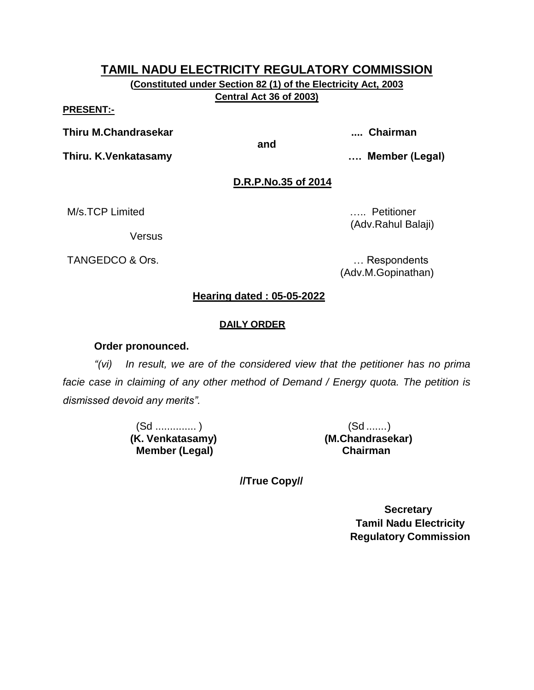**(Constituted under Section 82 (1) of the Electricity Act, 2003 Central Act 36 of 2003)**

#### **PRESENT:-**

**Thiru M.Chandrasekar .... Chairman**

**Thiru. K.Venkatasamy …. Member (Legal)**

**and**

#### **D.R.P.No.35 of 2014**

M/s.TCP Limited **M**/s.TCP Limited

**Versus** 

TANGEDCO & Ors. **Example 20** in the contract of the contract of the contract of the contract of the contract of the contract of the contract of the contract of the contract of the contract of the contract of the contract o

(Adv.Rahul Balaji)

(Adv.M.Gopinathan)

#### **Hearing dated : 05-05-2022**

#### **DAILY ORDER**

#### **Order pronounced.**

*"(vi) In result, we are of the considered view that the petitioner has no prima facie case in claiming of any other method of Demand / Energy quota. The petition is dismissed devoid any merits".*

> (Sd .............. ) (Sd .......) **(K. Venkatasamy) Member (Legal)**

**(M.Chandrasekar) Chairman**

**//True Copy//**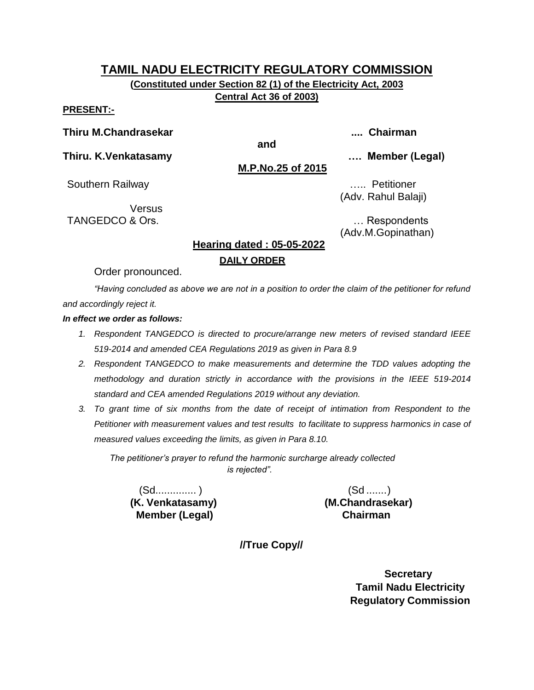**(Constituted under Section 82 (1) of the Electricity Act, 2003 Central Act 36 of 2003)**

#### **PRESENT:-**

**Thiru M.Chandrasekar .... Chairman**

**and**

**Thiru. K.Venkatasamy …. Member (Legal)**

**M.P.No.25 of 2015**

Southern Railway **Example 2018** 2019 2019 2021 2022 2034 2042 205

Versus TANGEDCO & Ors. **Example 20** and the contract of the contract of the contract of the contract of the contract of the contract of the contract of the contract of the contract of the contract of the contract of the contract

(Adv. Rahul Balaji)

(Adv.M.Gopinathan)

#### **Hearing dated : 05-05-2022 DAILY ORDER**

Order pronounced.

*"Having concluded as above we are not in a position to order the claim of the petitioner for refund and accordingly reject it.*

*In effect we order as follows:*

- *1. Respondent TANGEDCO is directed to procure/arrange new meters of revised standard IEEE 519-2014 and amended CEA Regulations 2019 as given in Para 8.9*
- *2. Respondent TANGEDCO to make measurements and determine the TDD values adopting the methodology and duration strictly in accordance with the provisions in the IEEE 519-2014 standard and CEA amended Regulations 2019 without any deviation.*
- *3. To grant time of six months from the date of receipt of intimation from Respondent to the Petitioner with measurement values and test results to facilitate to suppress harmonics in case of measured values exceeding the limits, as given in Para 8.10.*

*The petitioner's prayer to refund the harmonic surcharge already collected is rejected".*

(Sd.............. ) (Sd .......) **(K. Venkatasamy) Member (Legal)**

**(M.Chandrasekar) Chairman**

**//True Copy//**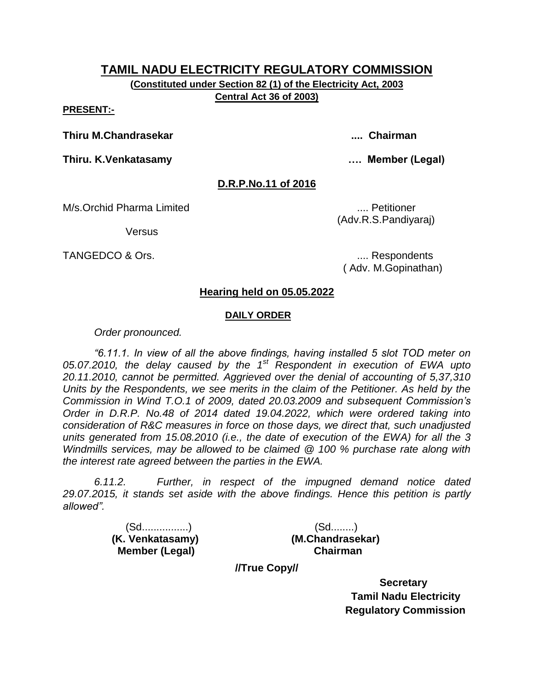**(Constituted under Section 82 (1) of the Electricity Act, 2003 Central Act 36 of 2003)**

#### **PRESENT:-**

**Thiru M.Chandrasekar .... Chairman**

**Thiru. K.Venkatasamy …. Member (Legal)**

#### **D.R.P.No.11 of 2016**

M/s.Orchid Pharma Limited **.... All and Struth and The Contract Contract Contract Contract Contract Contract Contract Contract Contract Contract Contract Contract Contract Contract Contract Contract Contract Contract Contr** 

**Versus** 

TANGEDCO & Ors.  $\qquad \qquad \ldots$  Respondents

( Adv. M.Gopinathan)

(Adv.R.S.Pandiyaraj)

#### **Hearing held on 05.05.2022**

#### **DAILY ORDER**

*Order pronounced.*

*"6.11.1. In view of all the above findings, having installed 5 slot TOD meter on 05.07.2010, the delay caused by the 1st Respondent in execution of EWA upto 20.11.2010, cannot be permitted. Aggrieved over the denial of accounting of 5,37,310 Units by the Respondents, we see merits in the claim of the Petitioner. As held by the Commission in Wind T.O.1 of 2009, dated 20.03.2009 and subsequent Commission's Order in D.R.P. No.48 of 2014 dated 19.04.2022, which were ordered taking into consideration of R&C measures in force on those days, we direct that, such unadjusted units generated from 15.08.2010 (i.e., the date of execution of the EWA) for all the 3 Windmills services, may be allowed to be claimed @ 100 % purchase rate along with the interest rate agreed between the parties in the EWA.*

*6.11.2. Further, in respect of the impugned demand notice dated 29.07.2015, it stands set aside with the above findings. Hence this petition is partly allowed".*

> (Sd................) (Sd........)  **Member (Legal) Chairman**

 **(K. Venkatasamy) (M.Chandrasekar)**

**//True Copy//**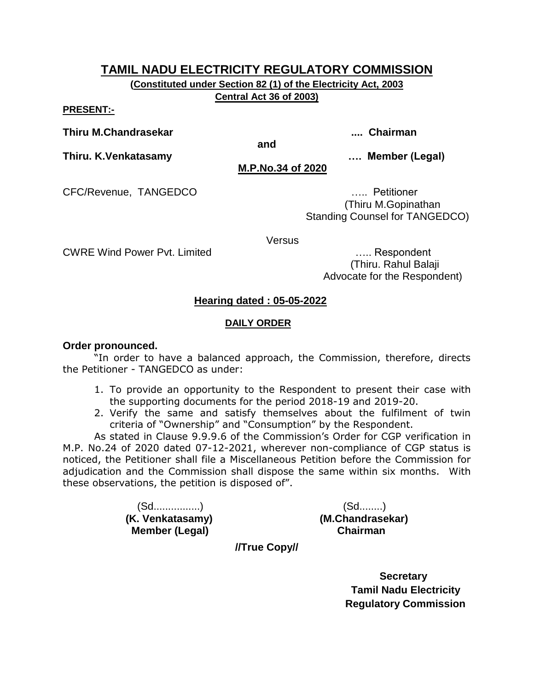**(Constituted under Section 82 (1) of the Electricity Act, 2003 Central Act 36 of 2003)**

**and**

**PRESENT:-**

**Thiru M.Chandrasekar .... Chairman**

**Thiru. K.Venkatasamy …. Member (Legal)**

**M.P.No.34 of 2020**

CFC/Revenue, TANGEDCO ….. Petitioner

 (Thiru M.Gopinathan Standing Counsel for TANGEDCO)

Versus

CWRE Wind Power Pvt. Limited ….. Respondent (Thiru. Rahul Balaji Advocate for the Respondent)

#### **Hearing dated : 05-05-2022**

#### **DAILY ORDER**

#### **Order pronounced.**

"In order to have a balanced approach, the Commission, therefore, directs the Petitioner - TANGEDCO as under:

- 1. To provide an opportunity to the Respondent to present their case with the supporting documents for the period 2018-19 and 2019-20.
- 2. Verify the same and satisfy themselves about the fulfilment of twin criteria of "Ownership" and "Consumption" by the Respondent.

As stated in Clause 9.9.9.6 of the Commission's Order for CGP verification in M.P. No.24 of 2020 dated 07-12-2021, wherever non-compliance of CGP status is noticed, the Petitioner shall file a Miscellaneous Petition before the Commission for adjudication and the Commission shall dispose the same within six months. With these observations, the petition is disposed of".

> (Sd................) (Sd........) **(K. Venkatasamy) (M.Chandrasekar) Member (Legal) Chairman**

**//True Copy//**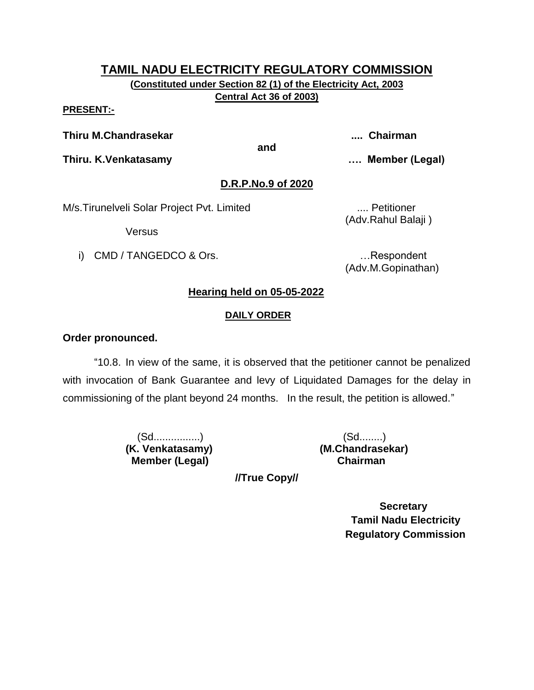**(Constituted under Section 82 (1) of the Electricity Act, 2003 Central Act 36 of 2003)**

#### **PRESENT:-**

**Thiru M.Chandrasekar .... Chairman**

**and**

**Thiru. K.Venkatasamy …. Member (Legal)**

#### **D.R.P.No.9 of 2020**

M/s. Tirunelveli Solar Project Pvt. Limited .... Petitioner

Versus

i) CMD / TANGEDCO & Ors. **Example 20** in the second control of the second control of the second control of the second control of the second control of the second control of the second control of the second control of the s

(Adv.M.Gopinathan)

(Adv.Rahul Balaji )

# **Hearing held on 05-05-2022**

#### **DAILY ORDER**

#### **Order pronounced.**

"10.8. In view of the same, it is observed that the petitioner cannot be penalized with invocation of Bank Guarantee and levy of Liquidated Damages for the delay in commissioning of the plant beyond 24 months. In the result, the petition is allowed."

> (Sd................) (Sd........) **(K. Venkatasamy) (M.Chandrasekar) Member (Legal) Chairman**

**//True Copy//**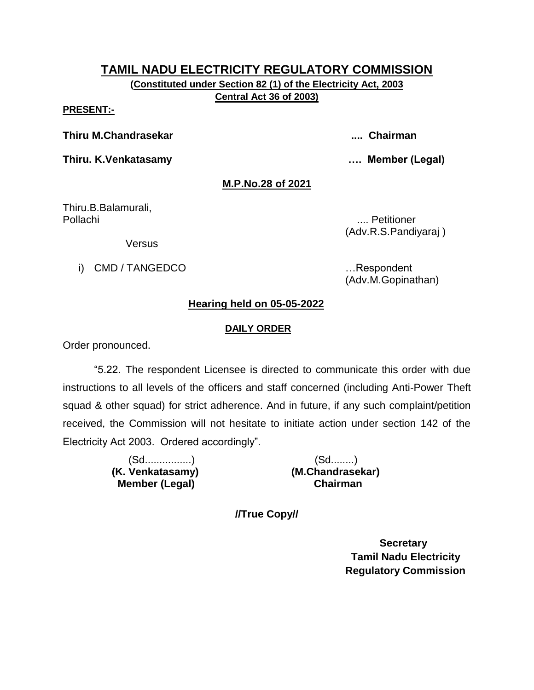**(Constituted under Section 82 (1) of the Electricity Act, 2003 Central Act 36 of 2003)**

#### **PRESENT:-**

**Thiru M.Chandrasekar .... Chairman**

**Thiru. K.Venkatasamy …. Member (Legal)**

#### **M.P.No.28 of 2021**

Thiru.B.Balamurali, Pollachi .... Petitioner

(Adv.R.S.Pandiyaraj )

Versus

i) CMD / TANGEDCO **in the set of the set of the set of the set of the set of the set of the set of the set of the set of the set of the set of the set of the set of the set of the set of the set of the set of the set of th** 

(Adv.M.Gopinathan)

#### **Hearing held on 05-05-2022**

#### **DAILY ORDER**

Order pronounced.

"5.22. The respondent Licensee is directed to communicate this order with due instructions to all levels of the officers and staff concerned (including Anti-Power Theft squad & other squad) for strict adherence. And in future, if any such complaint/petition received, the Commission will not hesitate to initiate action under section 142 of the Electricity Act 2003. Ordered accordingly".

> (Sd................) (Sd........)  **Member (Legal) Chairman**

 **(K. Venkatasamy) (M.Chandrasekar)**

**//True Copy//**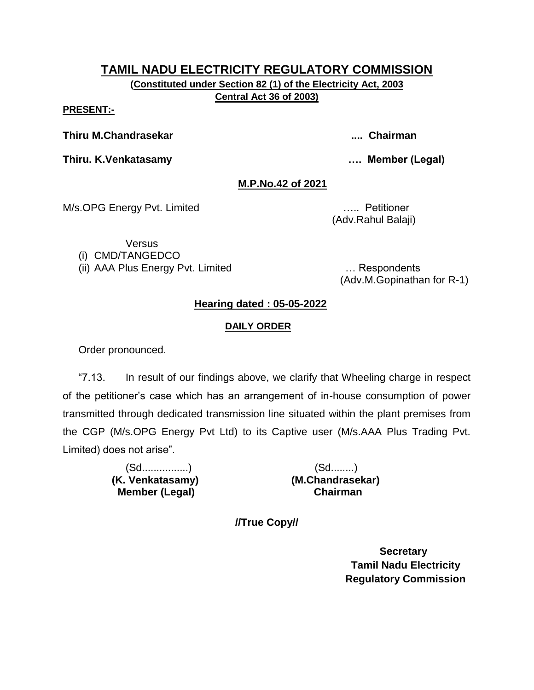**(Constituted under Section 82 (1) of the Electricity Act, 2003 Central Act 36 of 2003)**

#### **PRESENT:-**

**Thiru M.Chandrasekar .... Chairman**

**Thiru. K.Venkatasamy …. Member (Legal)**

#### **M.P.No.42 of 2021**

M/s.OPG Energy Pvt. Limited ….. Petitioner

(Adv.Rahul Balaji)

Versus (i) CMD/TANGEDCO

(ii) AAA Plus Energy Pvt. Limited … Respondents

(Adv.M.Gopinathan for R-1)

#### **Hearing dated : 05-05-2022**

#### **DAILY ORDER**

Order pronounced.

"7.13. In result of our findings above, we clarify that Wheeling charge in respect of the petitioner's case which has an arrangement of in-house consumption of power transmitted through dedicated transmission line situated within the plant premises from the CGP (M/s.OPG Energy Pvt Ltd) to its Captive user (M/s.AAA Plus Trading Pvt. Limited) does not arise".

> (Sd................) (Sd........)  **Member (Legal) Chairman**

 **(K. Venkatasamy) (M.Chandrasekar)**

**//True Copy//**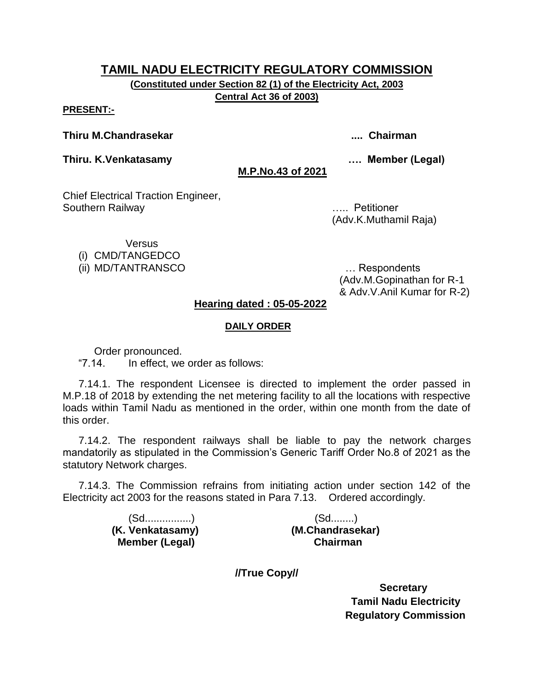**(Constituted under Section 82 (1) of the Electricity Act, 2003 Central Act 36 of 2003)**

#### **PRESENT:-**

#### **Thiru M.Chandrasekar .... Chairman**

**Thiru. K.Venkatasamy …. Member (Legal)**

**M.P.No.43 of 2021**

Chief Electrical Traction Engineer, Southern Railway ….. Petitioner

(Adv.K.Muthamil Raja)

**Versus** 

(i) CMD/TANGEDCO

(ii) MD/TANTRANSCO … Respondents

(Adv.M.Gopinathan for R-1 & Adv.V.Anil Kumar for R-2)

#### **Hearing dated : 05-05-2022**

#### **DAILY ORDER**

Order pronounced.

"7.14. In effect, we order as follows:

7.14.1. The respondent Licensee is directed to implement the order passed in M.P.18 of 2018 by extending the net metering facility to all the locations with respective loads within Tamil Nadu as mentioned in the order, within one month from the date of this order.

7.14.2. The respondent railways shall be liable to pay the network charges mandatorily as stipulated in the Commission's Generic Tariff Order No.8 of 2021 as the statutory Network charges.

7.14.3. The Commission refrains from initiating action under section 142 of the Electricity act 2003 for the reasons stated in Para 7.13. Ordered accordingly.

> (Sd................) (Sd........) **Member (Legal)**

 **(K. Venkatasamy) (M.Chandrasekar)**

**//True Copy//**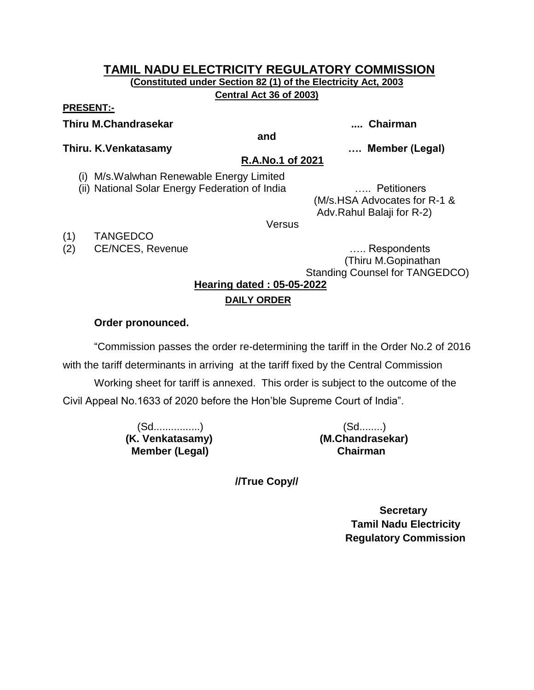#### **TAMIL NADU ELECTRICITY REGULATORY COMMISSION (Constituted under Section 82 (1) of the Electricity Act, 2003 Central Act 36 of 2003)**

#### **PRESENT:-**

**Thiru M.Chandrasekar .... Chairman**

**and**

**Thiru. K.Venkatasamy …. Member (Legal)**

**R.A.No.1 of 2021**

(i) M/s.Walwhan Renewable Energy Limited

(ii) National Solar Energy Federation of India ….. Petitioners

(M/s.HSA Advocates for R-1 & Adv.Rahul Balaji for R-2)

Versus

(1) TANGEDCO

(2) CE/NCES, Revenue **EXACTES** Example 20 and the contract of the contract of the contract of the contract of the contract of the contract of the contract of the contract of the contract of the contract of the contract of

 (Thiru M.Gopinathan Standing Counsel for TANGEDCO)

**Hearing dated : 05-05-2022**

### **DAILY ORDER**

#### **Order pronounced.**

"Commission passes the order re-determining the tariff in the Order No.2 of 2016 with the tariff determinants in arriving at the tariff fixed by the Central Commission Working sheet for tariff is annexed. This order is subject to the outcome of the Civil Appeal No.1633 of 2020 before the Hon'ble Supreme Court of India".

> (Sd................) (Sd........) **(K. Venkatasamy) (M.Chandrasekar) Member (Legal) Chairman**

**//True Copy//**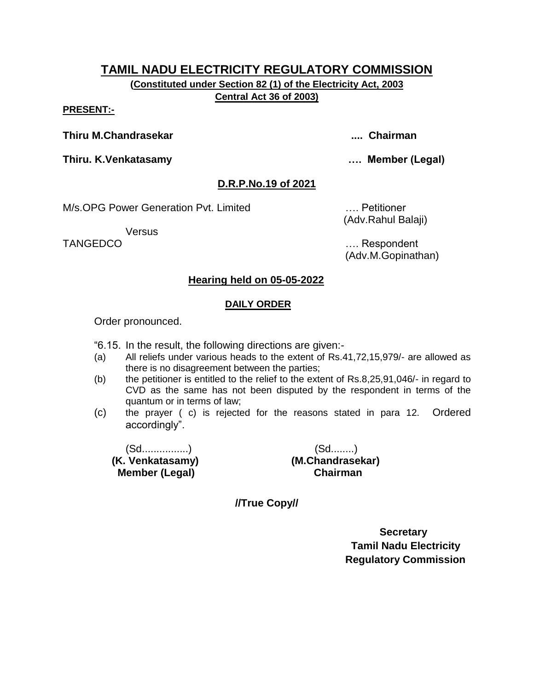**(Constituted under Section 82 (1) of the Electricity Act, 2003 Central Act 36 of 2003)**

#### **PRESENT:-**

**Thiru M.Chandrasekar .... Chairman**

**Thiru. K.Venkatasamy …. Member (Legal)**

#### **D.R.P.No.19 of 2021**

M/s.OPG Power Generation Pvt. Limited …. Petitioner

**Versus** 

(Adv.Rahul Balaji)

TANGEDCO …. Respondent (Adv.M.Gopinathan)

#### **Hearing held on 05-05-2022**

#### **DAILY ORDER**

Order pronounced.

"6.15. In the result, the following directions are given:-

- (a) All reliefs under various heads to the extent of Rs.41,72,15,979/- are allowed as there is no disagreement between the parties;
- (b) the petitioner is entitled to the relief to the extent of Rs.8,25,91,046/- in regard to CVD as the same has not been disputed by the respondent in terms of the quantum or in terms of law;
- (c) the prayer ( c) is rejected for the reasons stated in para 12. Ordered accordingly".

(Sd................) (Sd........)  **Member (Legal) Chairman**

 **(K. Venkatasamy) (M.Chandrasekar)**

**//True Copy//**